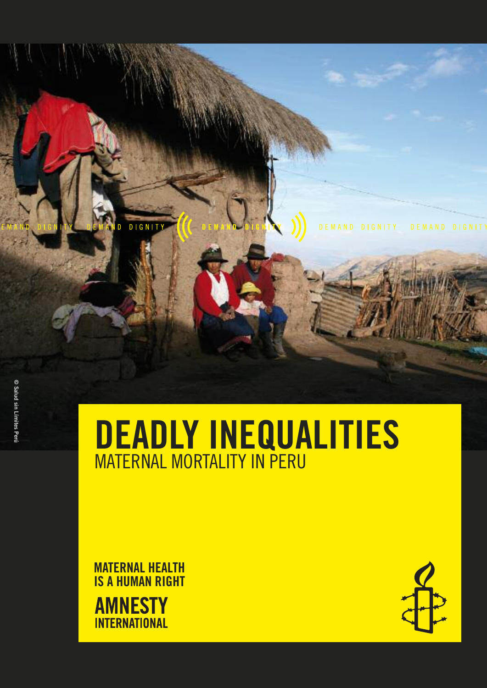© Salud

# DEADLY INEQUALITIES MATERNAL MORTALITY IN PERU

MATERNAL HEALTH IS A HUMAN RIGHT **AMNESTY INTERNATIONAL** 

D DIGNITY

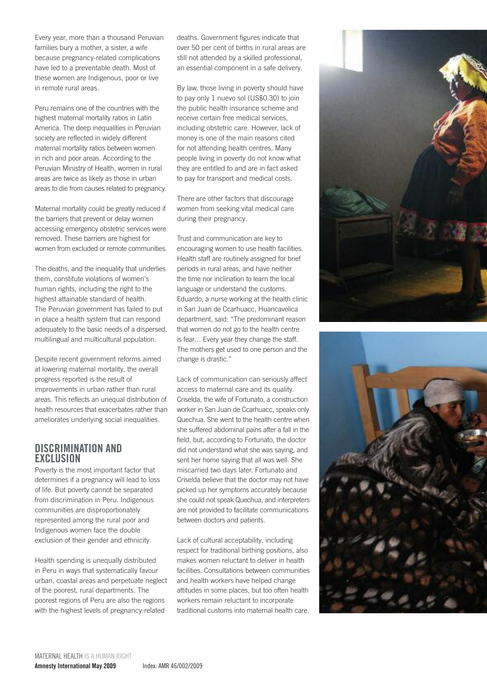Every year, more than a thousand Peruvian families bury a mother, a sister, a wife because pregnancy-related complications have led to a preventable death. Most of these women are Indigenous, poor or live in remote rural areas.

Peru remains one of the countries with the highest maternal mortality ratios in Latin America. The deep inequalities in Peruvian society are reflected in widely different maternal mortality ratios between women in rich and poor areas. According to the Peruvian Ministry of Health, women in rural areas are twice as likely as those in urban areas to die from causes related to pregnancy.

Maternal mortality could be greatly reduced if the barriers that prevent or delay women accessing emergency obstetric services were removed. These barriers are highest for women from excluded or remote communities.

The deaths, and the inequality that underlies them, constitute violations of women's human rights, including the right to the highest attainable standard of health. The Peruvian government has failed to put in place a health system that can respond adequately to the basic needs of a dispersed, multilingual and multicultural population.

Despite recent government reforms aimed at lowering maternal mortality, the overall progress reported is the result of improvements in urban rather than rural areas. This reflects an unequal distribution of health resources that exacerbates rather than ameliorates underlying social inequalities.

#### DISCRIMINATION AND EXCLUSION

Poverty is the most important factor that determines if a pregnancy will lead to loss of life. But poverty cannot be separated from discrimination in Peru. Indigenous communities are disproportionately represented among the rural poor and Indigenous women face the double exclusion of their gender and ethnicity.

Health spending is unequally distributed in Peru in ways that systematically favour urban, coastal areas and perpetuate neglect of the poorest, rural departments. The poorest regions of Peru are also the regions with the highest levels of pregnancy-related

deaths. Government figures indicate that over 50 per cent of births in rural areas are still not attended by a skilled professional, an essential component in a safe delivery.

By law, those living in poverty should have to pay only 1 nuevo sol (US\$0.30) to join the public health insurance scheme and receive certain free medical services, including obstetric care. However, lack of money is one of the main reasons cited for not attending health centres. Many people living in poverty do not know what they are entitled to and are in fact asked to pay for transport and medical costs.

There are other factors that discourage women from seeking vital medical care during their pregnancy.

Trust and communication are key to encouraging women to use health facilities. Health staff are routinely assigned for brief periods in rural areas, and have neither the time nor inclination to learn the local language or understand the customs. Eduardo, a nurse working at the health clinic in San Juan de Ccarhuacc, Huancavelica department, said: "The predominant reason that women do not go to the health centre is fear… Every year they change the staff. The mothers get used to one person and the change is drastic."

Lack of communication can seriously affect access to maternal care and its quality. Criselda, the wife of Fortunato, a construction worker in San Juan de Ccarhuacc, speaks only Quechua. She went to the health centre when she suffered abdominal pains after a fall in the field, but, according to Fortunato, the doctor did not understand what she was saying, and sent her home saying that all was well. She miscarried two days later. Fortunato and Criselda believe that the doctor may not have picked up her symptoms accurately because she could not speak Quechua, and interpreters are not provided to facilitate communications between doctors and patients.

Lack of cultural acceptability, including respect for traditional birthing positions, also makes women reluctant to deliver in health facilities. Consultations between communities and health workers have helped change attitudes in some places, but too often health workers remain reluctant to incorporate traditional customs into maternal health care.



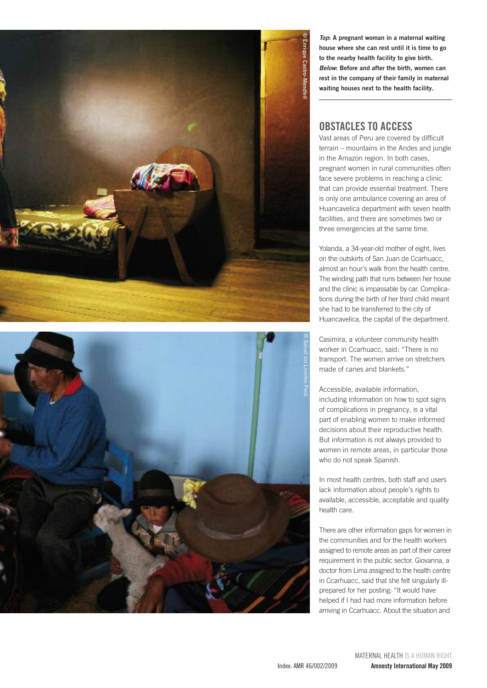



*Top*: A pregnant woman in a maternal waiting house where she can rest until it is time to go to the nearby health facility to give birth. *Below*: Before and after the birth, women can rest in the company of their family in maternal waiting houses next to the health facility.

### OBSTACLES TO ACCESS

Vast areas of Peru are covered by difficult terrain – mountains in the Andes and jungle in the Amazon region. In both cases, pregnant women in rural communities often face severe problems in reaching a clinic that can provide essential treatment. There is only one ambulance covering an area of Huancavelica department with seven health facilities, and there are sometimes two or three emergencies at the same time.

Yolanda, a 34-year-old mother of eight, lives on the outskirts of San Juan de Ccarhuacc, almost an hour's walk from the health centre. The winding path that runs between her house and the clinic is impassable by car. Complications during the birth of her third child meant she had to be transferred to the city of Huancavelica, the capital of the department.

Casimira, a volunteer community health worker in Ccarhuacc, said: "There is no transport. The women arrive on stretchers made of canes and blankets."

Accessible, available information, including information on how to spot signs of complications in pregnancy, is a vital part of enabling women to make informed decisions about their reproductive health. But information is not always provided to women in remote areas, in particular those who do not speak Spanish.

In most health centres, both staff and users lack information about people's rights to available, accessible, acceptable and quality health care.

There are other information gaps for women in the communities and for the health workers assigned to remote areas as part of their career requirement in the public sector. Giovanna, a doctor from Lima assigned to the health centre in Ccarhuacc, said that she felt singularly illprepared for her posting: "It would have helped if I had had more information before arriving in Ccarhuacc. About the situation and